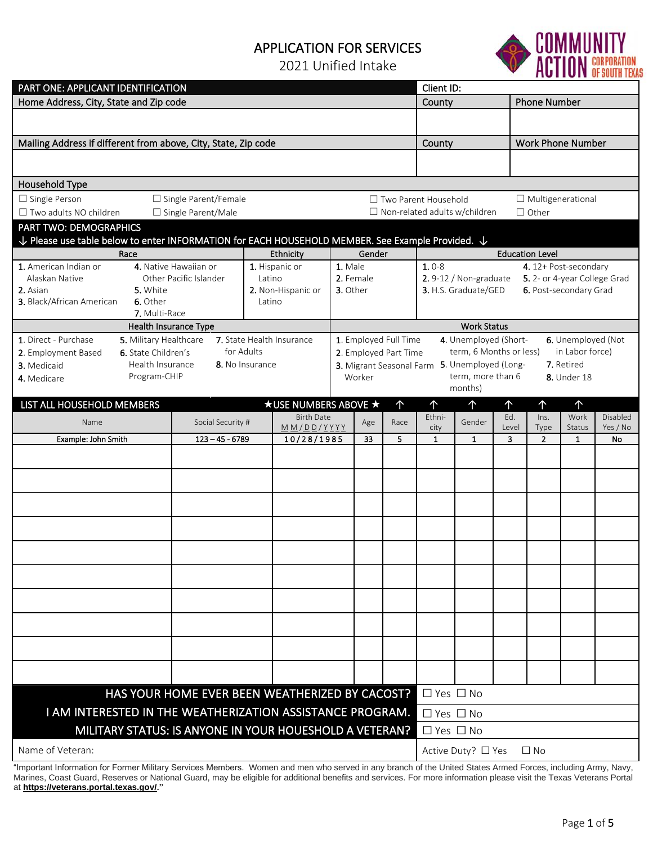## APPLICATION FOR SERVICES

2021 Unified Intake



| PART ONE: APPLICANT IDENTIFICATION                                                                                     |                                          |                        |                                          |                                                                                                                                   |                                                                      | Client ID:                         |                                                       |                                      |                                    |                                            |                  |                          |                      |
|------------------------------------------------------------------------------------------------------------------------|------------------------------------------|------------------------|------------------------------------------|-----------------------------------------------------------------------------------------------------------------------------------|----------------------------------------------------------------------|------------------------------------|-------------------------------------------------------|--------------------------------------|------------------------------------|--------------------------------------------|------------------|--------------------------|----------------------|
| Home Address, City, State and Zip code                                                                                 |                                          |                        |                                          |                                                                                                                                   | County                                                               |                                    |                                                       | <b>Phone Number</b>                  |                                    |                                            |                  |                          |                      |
|                                                                                                                        |                                          |                        |                                          |                                                                                                                                   |                                                                      |                                    |                                                       |                                      |                                    |                                            |                  |                          |                      |
|                                                                                                                        |                                          |                        |                                          |                                                                                                                                   |                                                                      |                                    |                                                       |                                      |                                    |                                            |                  |                          |                      |
| Mailing Address if different from above, City, State, Zip code                                                         |                                          |                        |                                          |                                                                                                                                   |                                                                      |                                    |                                                       | County                               |                                    |                                            |                  | <b>Work Phone Number</b> |                      |
|                                                                                                                        |                                          |                        |                                          |                                                                                                                                   |                                                                      |                                    |                                                       |                                      |                                    |                                            |                  |                          |                      |
|                                                                                                                        |                                          |                        |                                          |                                                                                                                                   |                                                                      |                                    |                                                       |                                      |                                    |                                            |                  |                          |                      |
| Household Type                                                                                                         |                                          |                        |                                          |                                                                                                                                   |                                                                      |                                    |                                                       |                                      |                                    |                                            |                  |                          |                      |
| $\Box$ Single Person                                                                                                   |                                          | □ Single Parent/Female |                                          |                                                                                                                                   |                                                                      |                                    |                                                       | $\Box$ Two Parent Household          |                                    |                                            |                  | $\Box$ Multigenerational |                      |
| □ Two adults NO children<br>□ Single Parent/Male                                                                       |                                          |                        |                                          |                                                                                                                                   |                                                                      |                                    |                                                       | $\Box$ Non-related adults w/children |                                    | $\Box$ Other                               |                  |                          |                      |
| PART TWO: DEMOGRAPHICS                                                                                                 |                                          |                        |                                          |                                                                                                                                   |                                                                      |                                    |                                                       |                                      |                                    |                                            |                  |                          |                      |
| $\downarrow$ Please use table below to enter INFORMATION for EACH HOUSEHOLD MEMBER. See Example Provided. $\downarrow$ |                                          |                        |                                          |                                                                                                                                   |                                                                      |                                    |                                                       |                                      |                                    |                                            |                  |                          |                      |
| Race                                                                                                                   |                                          |                        | Gender<br>Ethnicity                      |                                                                                                                                   |                                                                      |                                    | <b>Education Level</b>                                |                                      |                                    |                                            |                  |                          |                      |
| 1. American Indian or                                                                                                  | 4. Native Hawaiian or                    |                        | 1. Male<br>1. Hispanic or                |                                                                                                                                   |                                                                      | $1.0 - 8$<br>4. 12+ Post-secondary |                                                       |                                      |                                    |                                            |                  |                          |                      |
| 2. Asian                                                                                                               | Alaskan Native<br>Other Pacific Islander |                        | Latino                                   |                                                                                                                                   | 2. Female                                                            |                                    | 2.9-12 / Non-graduate<br>5. 2- or 4-year College Grad |                                      |                                    |                                            |                  |                          |                      |
| 3. Black/African American                                                                                              | 5. White<br>6. Other                     |                        | 2. Non-Hispanic or<br>3. Other<br>Latino |                                                                                                                                   |                                                                      |                                    | 3. H.S. Graduate/GED                                  |                                      |                                    | 6. Post-secondary Grad                     |                  |                          |                      |
|                                                                                                                        | 7. Multi-Race                            |                        |                                          |                                                                                                                                   |                                                                      |                                    |                                                       |                                      |                                    |                                            |                  |                          |                      |
|                                                                                                                        | Health Insurance Type                    |                        |                                          |                                                                                                                                   |                                                                      |                                    |                                                       |                                      | <b>Work Status</b>                 |                                            |                  |                          |                      |
| 1. Direct - Purchase                                                                                                   | 5. Military Healthcare                   |                        |                                          | 7. State Health Insurance                                                                                                         | 4. Unemployed (Short-<br>6. Unemployed (Not<br>1. Employed Full Time |                                    |                                                       |                                      |                                    |                                            |                  |                          |                      |
| 2. Employment Based                                                                                                    | 6. State Children's                      |                        | for Adults                               |                                                                                                                                   | 2. Employed Part Time                                                |                                    |                                                       |                                      |                                    | term, 6 Months or less)<br>in Labor force) |                  |                          |                      |
| 3. Medicaid                                                                                                            | Health Insurance                         | 8. No Insurance        |                                          |                                                                                                                                   | 3. Migrant Seasonal Farm                                             |                                    |                                                       |                                      | 5. Unemployed (Long-<br>7. Retired |                                            |                  |                          |                      |
| 4. Medicare                                                                                                            | Program-CHIP                             |                        |                                          |                                                                                                                                   | term, more than 6<br>Worker<br><b>8.</b> Under 18                    |                                    |                                                       |                                      |                                    |                                            |                  |                          |                      |
|                                                                                                                        |                                          |                        |                                          |                                                                                                                                   |                                                                      |                                    |                                                       |                                      | months)                            |                                            |                  |                          |                      |
| LIST ALL HOUSEHOLD MEMBERS                                                                                             |                                          |                        |                                          | <b>★ USE NUMBERS ABOVE ★</b>                                                                                                      |                                                                      |                                    | $\uparrow$                                            | $\uparrow$                           | 个                                  | ↑                                          | 个                | 个                        |                      |
| Name                                                                                                                   |                                          | Social Security #      |                                          | <b>Birth Date</b><br>$\underline{M}\underline{M}/\underline{D}\underline{D}/\underline{Y}\underline{Y}\underline{Y}\underline{Y}$ |                                                                      | Age                                | Race                                                  | Ethni-<br>city                       | Gender                             | Ed.<br>Level                               | $ln s$ .<br>Type | Work<br><b>Status</b>    | Disabled<br>Yes / No |
| Example: John Smith                                                                                                    |                                          | $123 - 45 - 6789$      |                                          | 10/28/1985                                                                                                                        |                                                                      | 33                                 | 5                                                     | $\mathbf{1}$                         | 1                                  | 3                                          | $\overline{2}$   | $\mathbf{1}$             | No                   |
|                                                                                                                        |                                          |                        |                                          |                                                                                                                                   |                                                                      |                                    |                                                       |                                      |                                    |                                            |                  |                          |                      |
|                                                                                                                        |                                          |                        |                                          |                                                                                                                                   |                                                                      |                                    |                                                       |                                      |                                    |                                            |                  |                          |                      |
|                                                                                                                        |                                          |                        |                                          |                                                                                                                                   |                                                                      |                                    |                                                       |                                      |                                    |                                            |                  |                          |                      |
|                                                                                                                        |                                          |                        |                                          |                                                                                                                                   |                                                                      |                                    |                                                       |                                      |                                    |                                            |                  |                          |                      |
|                                                                                                                        |                                          |                        |                                          |                                                                                                                                   |                                                                      |                                    |                                                       |                                      |                                    |                                            |                  |                          |                      |
|                                                                                                                        |                                          |                        |                                          |                                                                                                                                   |                                                                      |                                    |                                                       |                                      |                                    |                                            |                  |                          |                      |
|                                                                                                                        |                                          |                        |                                          |                                                                                                                                   |                                                                      |                                    |                                                       |                                      |                                    |                                            |                  |                          |                      |
|                                                                                                                        |                                          |                        |                                          |                                                                                                                                   |                                                                      |                                    |                                                       |                                      |                                    |                                            |                  |                          |                      |
|                                                                                                                        |                                          |                        |                                          |                                                                                                                                   |                                                                      |                                    |                                                       |                                      |                                    |                                            |                  |                          |                      |
|                                                                                                                        |                                          |                        |                                          |                                                                                                                                   |                                                                      |                                    |                                                       |                                      |                                    |                                            |                  |                          |                      |
|                                                                                                                        |                                          |                        |                                          |                                                                                                                                   |                                                                      |                                    |                                                       |                                      |                                    |                                            |                  |                          |                      |
|                                                                                                                        |                                          |                        |                                          |                                                                                                                                   |                                                                      |                                    |                                                       |                                      |                                    |                                            |                  |                          |                      |
|                                                                                                                        |                                          |                        |                                          |                                                                                                                                   |                                                                      |                                    |                                                       |                                      |                                    |                                            |                  |                          |                      |
|                                                                                                                        |                                          |                        |                                          |                                                                                                                                   |                                                                      |                                    |                                                       |                                      |                                    |                                            |                  |                          |                      |
|                                                                                                                        |                                          |                        |                                          |                                                                                                                                   |                                                                      |                                    |                                                       |                                      |                                    |                                            |                  |                          |                      |
|                                                                                                                        |                                          |                        |                                          |                                                                                                                                   |                                                                      |                                    |                                                       |                                      |                                    |                                            |                  |                          |                      |
|                                                                                                                        |                                          |                        |                                          |                                                                                                                                   |                                                                      |                                    |                                                       |                                      |                                    |                                            |                  |                          |                      |
|                                                                                                                        |                                          |                        |                                          |                                                                                                                                   |                                                                      |                                    |                                                       |                                      |                                    |                                            |                  |                          |                      |
| HAS YOUR HOME EVER BEEN WEATHERIZED BY CACOST?                                                                         |                                          |                        |                                          |                                                                                                                                   |                                                                      | $\Box$ Yes $\Box$ No               |                                                       |                                      |                                    |                                            |                  |                          |                      |
| I AM INTERESTED IN THE WEATHERIZATION ASSISTANCE PROGRAM.                                                              |                                          |                        |                                          |                                                                                                                                   |                                                                      |                                    | $\Box$ Yes $\Box$ No                                  |                                      |                                    |                                            |                  |                          |                      |
| MILITARY STATUS: IS ANYONE IN YOUR HOUESHOLD A VETERAN?                                                                |                                          |                        |                                          |                                                                                                                                   | $\Box$ Yes $\Box$ No                                                 |                                    |                                                       |                                      |                                    |                                            |                  |                          |                      |
|                                                                                                                        |                                          |                        |                                          |                                                                                                                                   |                                                                      |                                    |                                                       |                                      |                                    |                                            |                  |                          |                      |
| Name of Veteran:                                                                                                       |                                          |                        |                                          |                                                                                                                                   |                                                                      | Active Duty? □ Yes<br>$\Box$ No    |                                                       |                                      |                                    |                                            |                  |                          |                      |

"Important Information for Former Military Services Members. Women and men who served in any branch of the United States Armed Forces, including Army, Navy, Marines, Coast Guard, Reserves or National Guard, may be eligible for additional benefits and services. For more information please visit the Texas Veterans Portal at **[https://veterans.portal.texas.gov/.](https://veterans.portal.texas.gov/)"**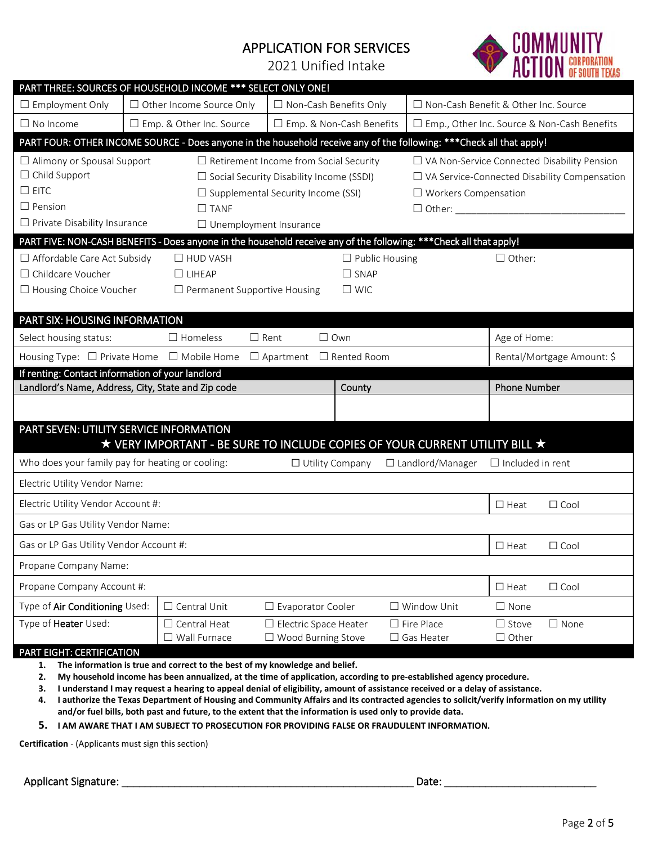## APPLICATION FOR SERVICES

2021 Unified Intake



| PART THREE: SOURCES OF HOUSEHOLD INCOME *** SELECT ONLY ONE!                                                         |                                                                          |                                                                             |                                     |                               |                                                     |                                               |                         |                            |  |
|----------------------------------------------------------------------------------------------------------------------|--------------------------------------------------------------------------|-----------------------------------------------------------------------------|-------------------------------------|-------------------------------|-----------------------------------------------------|-----------------------------------------------|-------------------------|----------------------------|--|
| $\Box$ Employment Only                                                                                               | $\Box$ Other Income Source Only                                          |                                                                             |                                     | $\Box$ Non-Cash Benefits Only |                                                     | □ Non-Cash Benefit & Other Inc. Source        |                         |                            |  |
| $\Box$ No Income                                                                                                     | □ Emp. & Other Inc. Source                                               |                                                                             |                                     | □ Emp. & Non-Cash Benefits    |                                                     | □ Emp., Other Inc. Source & Non-Cash Benefits |                         |                            |  |
| PART FOUR: OTHER INCOME SOURCE - Does anyone in the household receive any of the following: ***Check all that apply! |                                                                          |                                                                             |                                     |                               |                                                     |                                               |                         |                            |  |
| $\Box$ Alimony or Spousal Support<br>$\Box$ Retirement Income from Social Security                                   |                                                                          |                                                                             |                                     |                               |                                                     | □ VA Non-Service Connected Disability Pension |                         |                            |  |
| $\Box$ Child Support                                                                                                 | $\Box$ Social Security Disability Income (SSDI)                          |                                                                             |                                     |                               | $\Box$ VA Service-Connected Disability Compensation |                                               |                         |                            |  |
| $\square$ EITC                                                                                                       | $\Box$ Supplemental Security Income (SSI)<br>$\Box$ Workers Compensation |                                                                             |                                     |                               |                                                     |                                               |                         |                            |  |
| $\Box$ Pension                                                                                                       | $\Box$ TANF                                                              |                                                                             |                                     |                               |                                                     |                                               |                         |                            |  |
| $\Box$ Private Disability Insurance                                                                                  |                                                                          |                                                                             | $\Box$ Unemployment Insurance       |                               |                                                     |                                               |                         |                            |  |
| PART FIVE: NON-CASH BENEFITS - Does anyone in the household receive any of the following: *** Check all that apply!  |                                                                          |                                                                             |                                     |                               |                                                     |                                               |                         |                            |  |
| □ Affordable Care Act Subsidy<br>$\Box$ HUD VASH                                                                     |                                                                          |                                                                             | $\Box$ Public Housing               |                               |                                                     |                                               | $\Box$ Other:           |                            |  |
| $\Box$ Childcare Voucher                                                                                             |                                                                          | $\Box$ LIHEAP                                                               |                                     | $\Box$ SNAP                   |                                                     |                                               |                         |                            |  |
| □ Housing Choice Voucher                                                                                             |                                                                          | $\Box$ Permanent Supportive Housing                                         |                                     | $\square$ WIC                 |                                                     |                                               |                         |                            |  |
| PART SIX: HOUSING INFORMATION                                                                                        |                                                                          |                                                                             |                                     |                               |                                                     |                                               |                         |                            |  |
| Select housing status:                                                                                               |                                                                          | $\Box$ Homeless                                                             | $\Box$ Rent                         | $\Box$ Own                    |                                                     |                                               | Age of Home:            |                            |  |
| Housing Type: □ Private Home □ Mobile Home                                                                           |                                                                          |                                                                             | $\Box$ Apartment $\Box$ Rented Room |                               |                                                     |                                               |                         | Rental/Mortgage Amount: \$ |  |
| If renting: Contact information of your landlord                                                                     |                                                                          |                                                                             |                                     |                               |                                                     |                                               |                         |                            |  |
|                                                                                                                      |                                                                          |                                                                             |                                     |                               |                                                     |                                               |                         |                            |  |
| Landlord's Name, Address, City, State and Zip code                                                                   |                                                                          |                                                                             |                                     | County                        |                                                     |                                               | <b>Phone Number</b>     |                            |  |
|                                                                                                                      |                                                                          |                                                                             |                                     |                               |                                                     |                                               |                         |                            |  |
| PART SEVEN: UTILITY SERVICE INFORMATION                                                                              |                                                                          |                                                                             |                                     |                               |                                                     |                                               |                         |                            |  |
|                                                                                                                      |                                                                          | ★ VERY IMPORTANT - BE SURE TO INCLUDE COPIES OF YOUR CURRENT UTILITY BILL ★ |                                     |                               |                                                     |                                               |                         |                            |  |
| Who does your family pay for heating or cooling:                                                                     |                                                                          |                                                                             |                                     | □ Utility Company             |                                                     | □ Landlord/Manager                            | $\Box$ Included in rent |                            |  |
| Electric Utility Vendor Name:                                                                                        |                                                                          |                                                                             |                                     |                               |                                                     |                                               |                         |                            |  |
| Electric Utility Vendor Account #:                                                                                   |                                                                          |                                                                             |                                     |                               |                                                     |                                               | $\Box$ Heat             | $\Box$ Cool                |  |
| Gas or LP Gas Utility Vendor Name:                                                                                   |                                                                          |                                                                             |                                     |                               |                                                     |                                               |                         |                            |  |
| Gas or LP Gas Utility Vendor Account #:                                                                              |                                                                          |                                                                             |                                     |                               |                                                     |                                               | $\Box$ Heat             | $\Box$ Cool                |  |
| Propane Company Name:                                                                                                |                                                                          |                                                                             |                                     |                               |                                                     |                                               |                         |                            |  |
| Propane Company Account #:                                                                                           |                                                                          |                                                                             |                                     |                               |                                                     |                                               | $\Box$ Heat             | $\Box$ Cool                |  |
| Type of Air Conditioning Used:                                                                                       |                                                                          | $\Box$ Central Unit                                                         | $\Box$ Evaporator Cooler            |                               |                                                     | $\Box$ Window Unit                            | $\square$ None          |                            |  |
| Type of Heater Used:                                                                                                 |                                                                          | $\Box$ Central Heat                                                         | $\Box$ Electric Space Heater        |                               |                                                     | $\Box$ Fire Place                             | $\Box$ Stove            | $\Box$ None                |  |
| PART EIGHT: CERTIFICATION                                                                                            |                                                                          | $\Box$ Wall Furnace                                                         | $\Box$ Wood Burning Stove           |                               |                                                     | $\Box$ Gas Heater                             | $\Box$ Other            |                            |  |

- **1. The information is true and correct to the best of my knowledge and belief.**
- **2. My household income has been annualized, at the time of application, according to pre-established agency procedure.**
- **3. I understand I may request a hearing to appeal denial of eligibility, amount of assistance received or a delay of assistance.**
- **4. I authorize the Texas Department of Housing and Community Affairs and its contracted agencies to solicit/verify information on my utility and/or fuel bills, both past and future, to the extent that the information is used only to provide data.**
- **5. I AM AWARE THAT I AM SUBJECT TO PROSECUTION FOR PROVIDING FALSE OR FRAUDULENT INFORMATION.**

**Certification** - (Applicants must sign this section)

Applicant Signature: \_\_\_\_\_\_\_\_\_\_\_\_\_\_\_\_\_\_\_\_\_\_\_\_\_\_\_\_\_\_\_\_\_\_\_\_\_\_\_\_\_\_\_\_\_\_\_\_\_\_ Date: \_\_\_\_\_\_\_\_\_\_\_\_\_\_\_\_\_\_\_\_\_\_\_\_\_\_